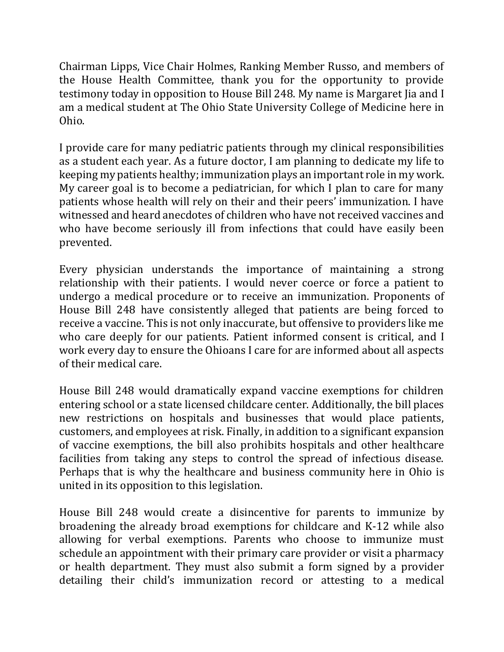Chairman Lipps, Vice Chair Holmes, Ranking Member Russo, and members of the House Health Committee, thank you for the opportunity to provide testimony today in opposition to House Bill 248. My name is Margaret Jia and I am a medical student at The Ohio State University College of Medicine here in Ohio.

I provide care for many pediatric patients through my clinical responsibilities as a student each year. As a future doctor, I am planning to dedicate my life to keeping my patients healthy; immunization plays an important role in my work. My career goal is to become a pediatrician, for which I plan to care for many patients whose health will rely on their and their peers' immunization. I have witnessed and heard anecdotes of children who have not received vaccines and who have become seriously ill from infections that could have easily been prevented.

Every physician understands the importance of maintaining a strong relationship with their patients. I would never coerce or force a patient to undergo a medical procedure or to receive an immunization. Proponents of House Bill 248 have consistently alleged that patients are being forced to receive a vaccine. This is not only inaccurate, but offensive to providers like me who care deeply for our patients. Patient informed consent is critical, and I work every day to ensure the Ohioans I care for are informed about all aspects of their medical care.

House Bill 248 would dramatically expand vaccine exemptions for children entering school or a state licensed childcare center. Additionally, the bill places new restrictions on hospitals and businesses that would place patients, customers, and employees at risk. Finally, in addition to a significant expansion of vaccine exemptions, the bill also prohibits hospitals and other healthcare facilities from taking any steps to control the spread of infectious disease. Perhaps that is why the healthcare and business community here in Ohio is united in its opposition to this legislation.

House Bill 248 would create a disincentive for parents to immunize by broadening the already broad exemptions for childcare and K-12 while also allowing for verbal exemptions. Parents who choose to immunize must schedule an appointment with their primary care provider or visit a pharmacy or health department. They must also submit a form signed by a provider detailing their child's immunization record or attesting to a medical